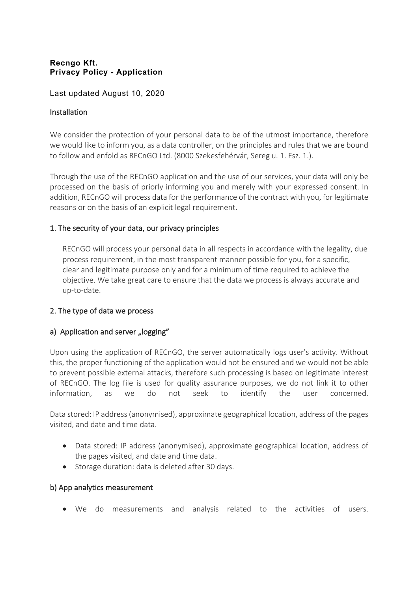### **Recngo Kft. Privacy Policy - Application**

### Last updated August 10, 2020

### Installation

We consider the protection of your personal data to be of the utmost importance, therefore we would like to inform you, as a data controller, on the principles and rules that we are bound to follow and enfold as RECnGO Ltd. (8000 Szekesfehérvár, Sereg u. 1. Fsz. 1.).

Through the use of the RECnGO application and the use of our services, your data will only be processed on the basis of priorly informing you and merely with your expressed consent. In addition, RECnGO will process data for the performance of the contract with you, for legitimate reasons or on the basis of an explicit legal requirement.

# 1. The security of your data, our privacy principles

RECnGO will process your personal data in all respects in accordance with the legality, due process requirement, in the most transparent manner possible for you, for a specific, clear and legitimate purpose only and for a minimum of time required to achieve the objective. We take great care to ensure that the data we process is always accurate and up-to-date.

# 2. The type of data we process

# a) Application and server "logging"

Upon using the application of RECnGO, the server automatically logs user's activity. Without this, the proper functioning of the application would not be ensured and we would not be able to prevent possible external attacks, therefore such processing is based on legitimate interest of RECnGO. The log file is used for quality assurance purposes, we do not link it to other information, as we do not seek to identify the user concerned.

Data stored: IP address (anonymised), approximate geographical location, address of the pages visited, and date and time data.

- Data stored: IP address (anonymised), approximate geographical location, address of the pages visited, and date and time data.
- Storage duration: data is deleted after 30 days.

#### b) App analytics measurement

• We do measurements and analysis related to the activities of users.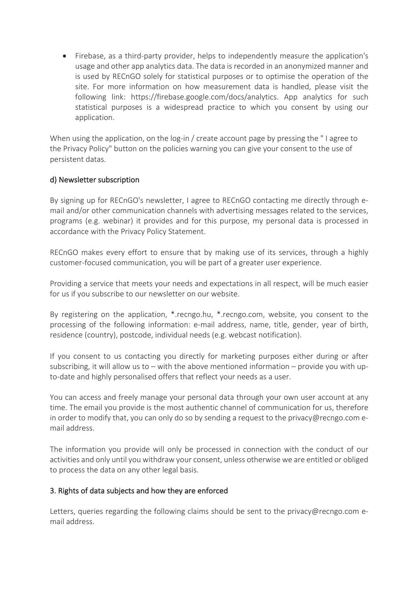• Firebase, as a third-party provider, helps to independently measure the application's usage and other app analytics data. The data is recorded in an anonymized manner and is used by RECnGO solely for statistical purposes or to optimise the operation of the site. For more information on how measurement data is handled, please visit the following link: https://firebase.google.com/docs/analytics. App analytics for such statistical purposes is a widespread practice to which you consent by using our application.

When using the application, on the log-in / create account page by pressing the "I agree to the Privacy Policy" button on the policies warning you can give your consent to the use of persistent datas.

# d) Newsletter subscription

By signing up for RECnGO's newsletter, I agree to RECnGO contacting me directly through email and/or other communication channels with advertising messages related to the services, programs (e.g. webinar) it provides and for this purpose, my personal data is processed in accordance with the Privacy Policy Statement.

RECnGO makes every effort to ensure that by making use of its services, through a highly customer-focused communication, you will be part of a greater user experience.

Providing a service that meets your needs and expectations in all respect, will be much easier for us if you subscribe to our newsletter on our website.

By registering on the application, \*.recngo.hu, \*.recngo.com, website, you consent to the processing of the following information: e-mail address, name, title, gender, year of birth, residence (country), postcode, individual needs (e.g. webcast notification).

If you consent to us contacting you directly for marketing purposes either during or after subscribing, it will allow us to  $-$  with the above mentioned information  $-$  provide you with upto-date and highly personalised offers that reflect your needs as a user.

You can access and freely manage your personal data through your own user account at any time. The email you provide is the most authentic channel of communication for us, therefore in order to modify that, you can only do so by sending a request to the privacy@recngo.com email address.

The information you provide will only be processed in connection with the conduct of our activities and only until you withdraw your consent, unless otherwise we are entitled or obliged to process the data on any other legal basis.

# 3. Rights of data subjects and how they are enforced

Letters, queries regarding the following claims should be sent to the privacy@recngo.com email address.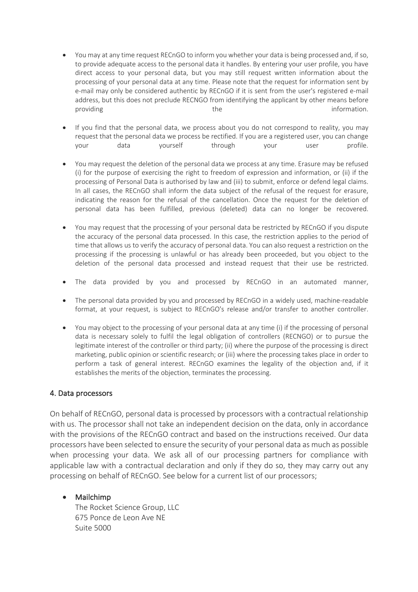- You may at any time request RECnGO to inform you whether your data is being processed and, if so, to provide adequate access to the personal data it handles. By entering your user profile, you have direct access to your personal data, but you may still request written information about the processing of your personal data at any time. Please note that the request for information sent by e-mail may only be considered authentic by RECnGO if it is sent from the user's registered e-mail address, but this does not preclude RECNGO from identifying the applicant by other means before providing the information. The information of the information.
- If you find that the personal data, we process about you do not correspond to reality, you may request that the personal data we process be rectified. If you are a registered user, you can change your data yourself through your user profile.
- You may request the deletion of the personal data we process at any time. Erasure may be refused (i) for the purpose of exercising the right to freedom of expression and information, or (ii) if the processing of Personal Data is authorised by law and (iii) to submit, enforce or defend legal claims. In all cases, the RECnGO shall inform the data subject of the refusal of the request for erasure, indicating the reason for the refusal of the cancellation. Once the request for the deletion of personal data has been fulfilled, previous (deleted) data can no longer be recovered.
- You may request that the processing of your personal data be restricted by RECnGO if you dispute the accuracy of the personal data processed. In this case, the restriction applies to the period of time that allows us to verify the accuracy of personal data. You can also request a restriction on the processing if the processing is unlawful or has already been proceeded, but you object to the deletion of the personal data processed and instead request that their use be restricted.
- The data provided by you and processed by RECnGO in an automated manner,
- The personal data provided by you and processed by RECnGO in a widely used, machine-readable format, at your request, is subject to RECnGO's release and/or transfer to another controller.
- You may object to the processing of your personal data at any time (i) if the processing of personal data is necessary solely to fulfil the legal obligation of controllers (RECNGO) or to pursue the legitimate interest of the controller or third party; (ii) where the purpose of the processing is direct marketing, public opinion or scientific research; or (iii) where the processing takes place in order to perform a task of general interest. RECnGO examines the legality of the objection and, if it establishes the merits of the objection, terminates the processing.

# 4. Data processors

On behalf of RECnGO, personal data is processed by processors with a contractual relationship with us. The processor shall not take an independent decision on the data, only in accordance with the provisions of the RECnGO contract and based on the instructions received. Our data processors have been selected to ensure the security of your personal data as much as possible when processing your data. We ask all of our processing partners for compliance with applicable law with a contractual declaration and only if they do so, they may carry out any processing on behalf of RECnGO. See below for a current list of our processors;

#### • Mailchimp

The Rocket Science Group, LLC 675 Ponce de Leon Ave NE Suite 5000